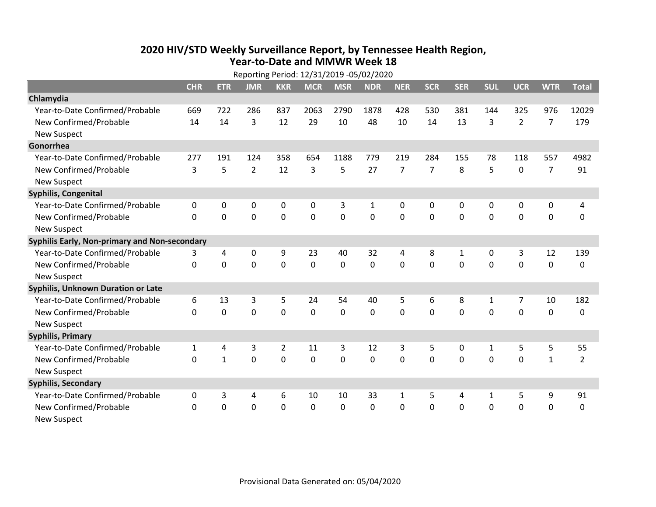## **2020 HIV /STD Weekly Surveillance Report, by Tennessee Health Region, Year‐to‐Date and MMWR Week 18**

|                                               | Reporting Period: 12/31/2019 -05/02/2020 |              |                |                |             |             |             |                |                |              |              |                |                |                |
|-----------------------------------------------|------------------------------------------|--------------|----------------|----------------|-------------|-------------|-------------|----------------|----------------|--------------|--------------|----------------|----------------|----------------|
|                                               | <b>CHR</b>                               | <b>ETR</b>   | <b>JMR</b>     | <b>KKR</b>     | <b>MCR</b>  | <b>MSR</b>  | <b>NDR</b>  | <b>NER</b>     | <b>SCR</b>     | <b>SER</b>   | <b>SUL</b>   | <b>UCR</b>     | <b>WTR</b>     | <b>Total</b>   |
| Chlamydia                                     |                                          |              |                |                |             |             |             |                |                |              |              |                |                |                |
| Year-to-Date Confirmed/Probable               | 669                                      | 722          | 286            | 837            | 2063        | 2790        | 1878        | 428            | 530            | 381          | 144          | 325            | 976            | 12029          |
| New Confirmed/Probable                        | 14                                       | 14           | 3              | 12             | 29          | 10          | 48          | 10             | 14             | 13           | 3            | $\overline{2}$ | $\overline{7}$ | 179            |
| <b>New Suspect</b>                            |                                          |              |                |                |             |             |             |                |                |              |              |                |                |                |
| Gonorrhea                                     |                                          |              |                |                |             |             |             |                |                |              |              |                |                |                |
| Year-to-Date Confirmed/Probable               | 277                                      | 191          | 124            | 358            | 654         | 1188        | 779         | 219            | 284            | 155          | 78           | 118            | 557            | 4982           |
| New Confirmed/Probable                        | 3                                        | 5            | $\overline{2}$ | 12             | 3           | 5           | 27          | $\overline{7}$ | $\overline{7}$ | 8            | 5            | $\mathbf 0$    | $\overline{7}$ | 91             |
| <b>New Suspect</b>                            |                                          |              |                |                |             |             |             |                |                |              |              |                |                |                |
| Syphilis, Congenital                          |                                          |              |                |                |             |             |             |                |                |              |              |                |                |                |
| Year-to-Date Confirmed/Probable               | 0                                        | 0            | 0              | 0              | 0           | 3           | 1           | 0              | 0              | $\mathbf{0}$ | $\mathbf{0}$ | 0              | 0              | 4              |
| New Confirmed/Probable                        | $\Omega$                                 | $\mathbf 0$  | 0              | $\mathbf 0$    | $\mathbf 0$ | $\mathbf 0$ | $\mathbf 0$ | $\Omega$       | $\Omega$       | $\Omega$     | 0            | $\mathbf 0$    | $\mathbf 0$    | 0              |
| <b>New Suspect</b>                            |                                          |              |                |                |             |             |             |                |                |              |              |                |                |                |
| Syphilis Early, Non-primary and Non-secondary |                                          |              |                |                |             |             |             |                |                |              |              |                |                |                |
| Year-to-Date Confirmed/Probable               | 3                                        | 4            | 0              | 9              | 23          | 40          | 32          | 4              | 8              | $\mathbf{1}$ | 0            | 3              | 12             | 139            |
| New Confirmed/Probable                        | $\mathbf{0}$                             | 0            | 0              | 0              | 0           | 0           | 0           | $\mathbf 0$    | $\Omega$       | $\mathbf 0$  | 0            | $\mathbf 0$    | $\mathbf 0$    | 0              |
| <b>New Suspect</b>                            |                                          |              |                |                |             |             |             |                |                |              |              |                |                |                |
| <b>Syphilis, Unknown Duration or Late</b>     |                                          |              |                |                |             |             |             |                |                |              |              |                |                |                |
| Year-to-Date Confirmed/Probable               | 6                                        | 13           | 3              | 5              | 24          | 54          | 40          | 5              | 6              | 8            | 1            | 7              | 10             | 182            |
| New Confirmed/Probable                        | 0                                        | 0            | 0              | 0              | 0           | 0           | $\Omega$    | $\Omega$       | $\Omega$       | $\Omega$     | $\Omega$     | $\Omega$       | $\mathbf 0$    | 0              |
| <b>New Suspect</b>                            |                                          |              |                |                |             |             |             |                |                |              |              |                |                |                |
| <b>Syphilis, Primary</b>                      |                                          |              |                |                |             |             |             |                |                |              |              |                |                |                |
| Year-to-Date Confirmed/Probable               | $\mathbf{1}$                             | 4            | 3              | $\overline{2}$ | 11          | 3           | 12          | 3              | 5              | 0            | $\mathbf{1}$ | 5              | 5              | 55             |
| New Confirmed/Probable                        | 0                                        | $\mathbf{1}$ | 0              | 0              | 0           | $\mathbf 0$ | 0           | $\Omega$       | $\Omega$       | $\mathbf{0}$ | 0            | $\mathbf 0$    | $\mathbf{1}$   | $\overline{2}$ |
| <b>New Suspect</b>                            |                                          |              |                |                |             |             |             |                |                |              |              |                |                |                |
| <b>Syphilis, Secondary</b>                    |                                          |              |                |                |             |             |             |                |                |              |              |                |                |                |
| Year-to-Date Confirmed/Probable               | 0                                        | 3            | 4              | 6              | 10          | 10          | 33          | $\mathbf{1}$   | 5              | 4            | $\mathbf{1}$ | 5              | 9              | 91             |
| New Confirmed/Probable                        | $\Omega$                                 | 0            | 0              | 0              | 0           | 0           | 0           | $\mathbf{0}$   | $\Omega$       | $\mathbf 0$  | 0            | 0              | $\mathbf 0$    | 0              |
| <b>New Suspect</b>                            |                                          |              |                |                |             |             |             |                |                |              |              |                |                |                |